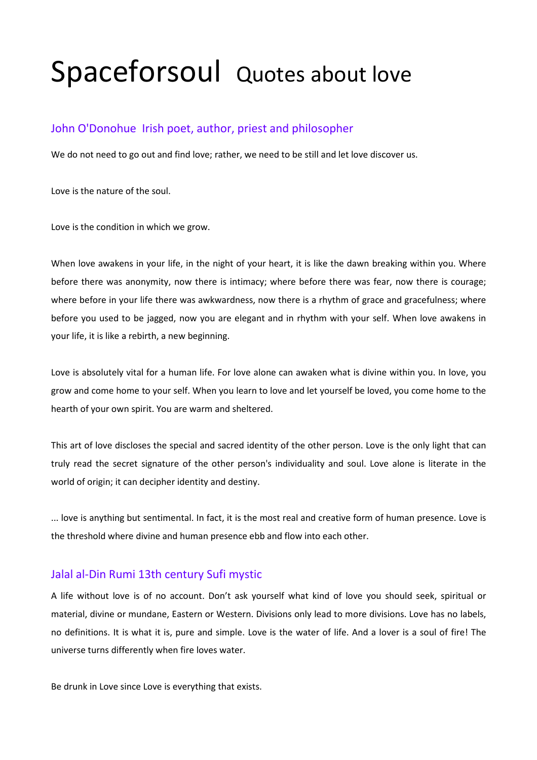# Spaceforsoul Quotes about love

# John O'Donohue Irish poet, author, priest and philosopher

We do not need to go out and find love; rather, we need to be still and let love discover us.

Love is the nature of the soul.

Love is the condition in which we grow.

When love awakens in your life, in the night of your heart, it is like the dawn breaking within you. Where before there was anonymity, now there is intimacy; where before there was fear, now there is courage; where before in your life there was awkwardness, now there is a rhythm of grace and gracefulness; where before you used to be jagged, now you are elegant and in rhythm with your self. When love awakens in your life, it is like a rebirth, a new beginning.

Love is absolutely vital for a human life. For love alone can awaken what is divine within you. In love, you grow and come home to your self. When you learn to love and let yourself be loved, you come home to the hearth of your own spirit. You are warm and sheltered.

This art of love discloses the special and sacred identity of the other person. Love is the only light that can truly read the secret signature of the other person's individuality and soul. Love alone is literate in the world of origin; it can decipher identity and destiny.

... love is anything but sentimental. In fact, it is the most real and creative form of human presence. Love is the threshold where divine and human presence ebb and flow into each other.

## Jalal al-Din Rumi 13th century Sufi mystic

A life without love is of no account. Don't ask yourself what kind of love you should seek, spiritual or material, divine or mundane, Eastern or Western. Divisions only lead to more divisions. Love has no labels, no definitions. It is what it is, pure and simple. Love is the water of life. And a lover is a soul of fire! The universe turns differently when fire loves water.

Be drunk in Love since Love is everything that exists.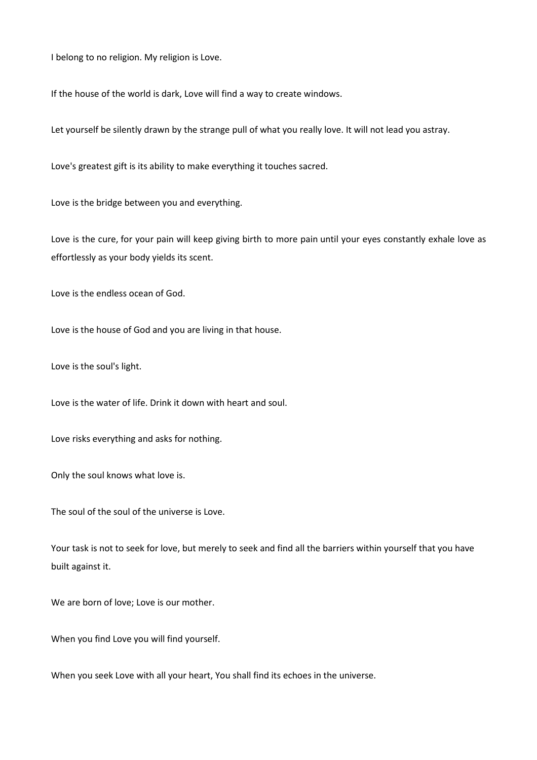I belong to no religion. My religion is Love.

If the house of the world is dark, Love will find a way to create windows.

Let yourself be silently drawn by the strange pull of what you really love. It will not lead you astray.

Love's greatest gift is its ability to make everything it touches sacred.

Love is the bridge between you and everything.

Love is the cure, for your pain will keep giving birth to more pain until your eyes constantly exhale love as effortlessly as your body yields its scent.

Love is the endless ocean of God.

Love is the house of God and you are living in that house.

Love is the soul's light.

Love is the water of life. Drink it down with heart and soul.

Love risks everything and asks for nothing.

Only the soul knows what love is.

The soul of the soul of the universe is Love.

Your task is not to seek for love, but merely to seek and find all the barriers within yourself that you have built against it.

We are born of love; Love is our mother.

When you find Love you will find yourself.

When you seek Love with all your heart, You shall find its echoes in the universe.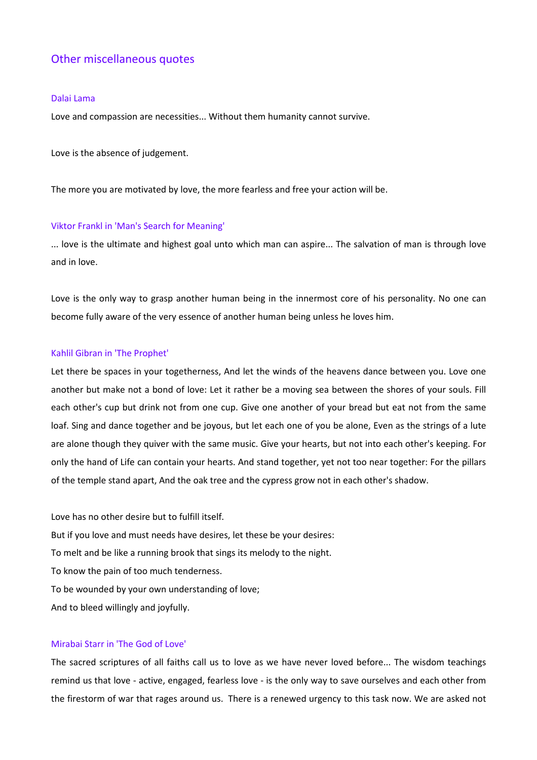## Other miscellaneous quotes

#### Dalai Lama

Love and compassion are necessities... Without them humanity cannot survive.

Love is the absence of judgement.

The more you are motivated by love, the more fearless and free your action will be.

### Viktor Frankl in 'Man's Search for Meaning'

... love is the ultimate and highest goal unto which man can aspire... The salvation of man is through love and in love.

Love is the only way to grasp another human being in the innermost core of his personality. No one can become fully aware of the very essence of another human being unless he loves him.

### Kahlil Gibran in 'The Prophet'

Let there be spaces in your togetherness, And let the winds of the heavens dance between you. Love one another but make not a bond of love: Let it rather be a moving sea between the shores of your souls. Fill each other's cup but drink not from one cup. Give one another of your bread but eat not from the same loaf. Sing and dance together and be joyous, but let each one of you be alone, Even as the strings of a lute are alone though they quiver with the same music. Give your hearts, but not into each other's keeping. For only the hand of Life can contain your hearts. And stand together, yet not too near together: For the pillars of the temple stand apart, And the oak tree and the cypress grow not in each other's shadow.

Love has no other desire but to fulfill itself. But if you love and must needs have desires, let these be your desires: To melt and be like a running brook that sings its melody to the night. To know the pain of too much tenderness. To be wounded by your own understanding of love; And to bleed willingly and joyfully.

## Mirabai Starr in 'The God of Love'

The sacred scriptures of all faiths call us to love as we have never loved before... The wisdom teachings remind us that love - active, engaged, fearless love - is the only way to save ourselves and each other from the firestorm of war that rages around us. There is a renewed urgency to this task now. We are asked not